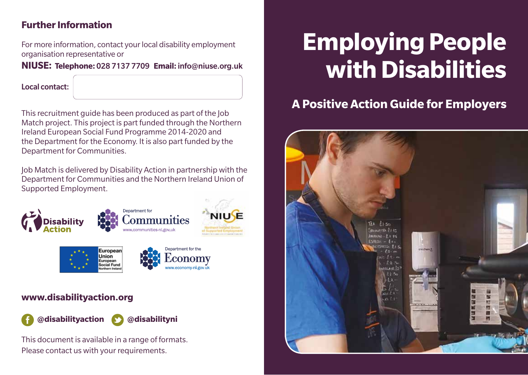# **Further Information**

For more information, contact your local disability employment organisation representative or

#### **NIUSE: Telephone:** 028 7137 7709 **Email:** info@niuse.org.uk

Local contact:

This recruitment guide has been produced as part of the Job Match project. This project is part funded through the Northern Ireland European Social Fund Programme 2014-2020 and the Department for the Economy. It is also part funded by the Department for Communities.

Job Match is delivered by Disability Action in partnership with the Department for Communities and the Northern Ireland Union of Supported Employment.



# **www.disabilityaction.org**



This document is available in a range of formats. Please contact us with your requirements.

# **Employing People with Disabilities**

# **A Positive Action Guide for Employers**

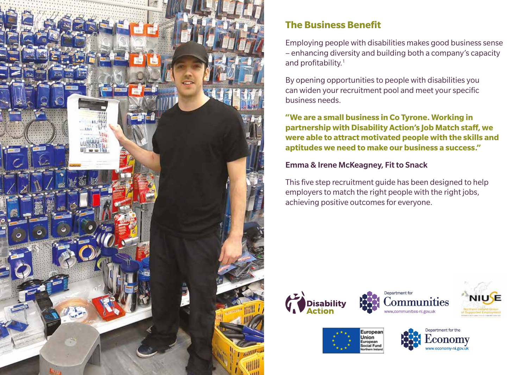

# **The Business Benefit**

Employing people with disabilities makes good business sense – enhancing diversity and building both a company's capacity and profitability.<sup>1</sup>

By opening opportunities to people with disabilities you can widen your recruitment pool and meet your specific business needs.

**"We are a small business in Co Tyrone. Working in partnership with Disability Action's Job Match staff, we were able to attract motivated people with the skills and aptitudes we need to make our business a success."** 

#### Emma & Irene McKeagney, Fit to Snack

This five step recruitment guide has been designed to help employers to match the right people with the right jobs, achieving positive outcomes for everyone.











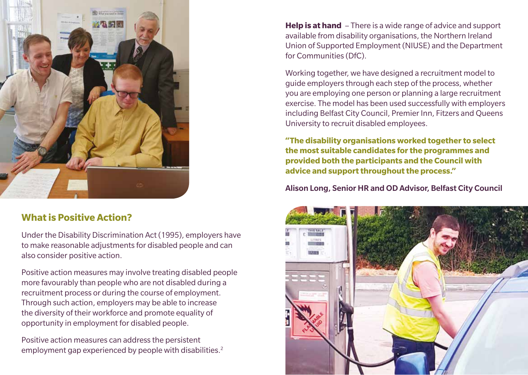

### **What is Positive Action?**

Under the Disability Discrimination Act (1995), employers have to make reasonable adjustments for disabled people and can also consider positive action.

Positive action measures may involve treating disabled people more favourably than people who are not disabled during a recruitment process or during the course of employment. Through such action, employers may be able to increase the diversity of their workforce and promote equality of opportunity in employment for disabled people.

Positive action measures can address the persistent employment gap experienced by people with disabilities.<sup>2</sup> **Help is at hand** – There is a wide range of advice and support available from disability organisations, the Northern Ireland Union of Supported Employment (NIUSE) and the Department for Communities (DfC).

Working together, we have designed a recruitment model to guide employers through each step of the process, whether you are employing one person or planning a large recruitment exercise. The model has been used successfully with employers including Belfast City Council, Premier Inn, Fitzers and Queens University to recruit disabled employees.

**"The disability organisations worked together to select the most suitable candidates for the programmes and provided both the participants and the Council with advice and support throughout the process."**

Alison Long, Senior HR and OD Advisor, Belfast City Council

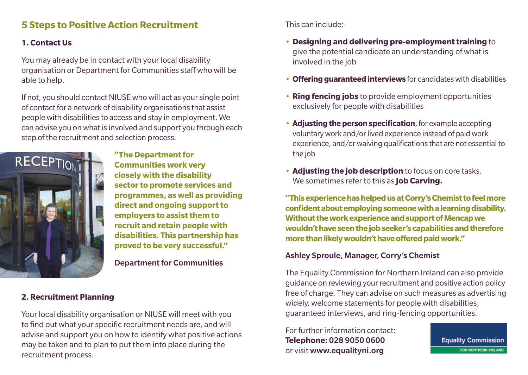# **5 Steps to Positive Action Recruitment**

#### **1. Contact Us**

You may already be in contact with your local disability organisation or Department for Communities staff who will be able to help.

If not, you should contact NIUSE who will act as your single point of contact for a network of disability organisations that assist people with disabilities to access and stay in employment. We can advise you on what is involved and support you through each step of the recruitment and selection process.



**"The Department for Communities work very closely with the disability sector to promote services and programmes, as well as providing direct and ongoing support to employers to assist them to recruit and retain people with disabilities. This partnership has proved to be very successful."** 

Department for Communities

#### **2. Recruitment Planning**

Your local disability organisation or NIUSE will meet with you to find out what your specific recruitment needs are, and will advise and support you on how to identify what positive actions may be taken and to plan to put them into place during the recruitment process.

This can include:-

- **Designing and delivering pre-employment training** to give the potential candidate an understanding of what is involved in the job
- **Offering guaranteed interviews** for candidates with disabilities
- **Ring fencing jobs** to provide employment opportunities exclusively for people with disabilities
- **Adjusting the person specification**, for example accepting voluntary work and/or lived experience instead of paid work experience, and/or waiving qualifications that are not essential to the job
- **Adjusting the job description** to focus on core tasks. We sometimes refer to this as **Job Carving.**

**"This experience has helped us at Corry's Chemist to feel more confident about employing someone with a learning disability. Without the work experience and support of Mencap we wouldn't have seen the job seeker's capabilities and therefore more than likely wouldn't have offered paid work."**

#### Ashley Sproule, Manager, Corry's Chemist

The Equality Commission for Northern Ireland can also provide guidance on reviewing your recruitment and positive action policy free of charge. They can advise on such measures as advertising widely, welcome statements for people with disabilities, guaranteed interviews, and ring-fencing opportunities.

For further information contact: **Telephone:** 028 9050 0600 or visit www.equalityni.org

**Equality Commission** FOR NORTHERN IRELAND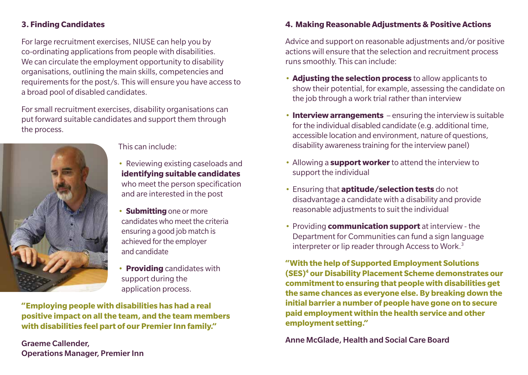#### **3. Finding Candidates**

For large recruitment exercises, NIUSE can help you by co-ordinating applications from people with disabilities. We can circulate the employment opportunity to disability organisations, outlining the main skills, competencies and requirements for the post/s. This will ensure you have access to a broad pool of disabled candidates.

For small recruitment exercises, disability organisations can put forward suitable candidates and support them through the process.



This can include:

- Reviewing existing caseloads and **identifying suitable candidates** who meet the person specification and are interested in the post
- **Submitting** one or more candidates who meet the criteria ensuring a good job match is achieved for the employer and candidate
- **Providing** candidates with support during the application process.

**"Employing people with disabilities has had a real positive impact on all the team, and the team members with disabilities feel part of our Premier Inn family."**

Graeme Callender, Operations Manager, Premier Inn

#### **4. Making Reasonable Adjustments & Positive Actions**

Advice and support on reasonable adjustments and/or positive actions will ensure that the selection and recruitment process runs smoothly. This can include:

- **Adjusting the selection process** to allow applicants to show their potential, for example, assessing the candidate on the job through a work trial rather than interview
- **Interview arrangements** ensuring the interview is suitable for the individual disabled candidate (e.g. additional time, accessible location and environment, nature of questions, disability awareness training for the interview panel)
- Allowing a **support worker** to attend the interview to support the individual
- Ensuring that **aptitude/selection tests** do not disadvantage a candidate with a disability and provide reasonable adjustments to suit the individual
- Providing **communication support** at interview the Department for Communities can fund a sign language interpreter or lip reader through Access to Work.<sup>3</sup>

**"With the help of Supported Employment Solutions (SES)4 our Disability Placement Scheme demonstrates our commitment to ensuring that people with disabilities get the same chances as everyone else. By breaking down the initial barrier a number of people have gone on to secure paid employment within the health service and other employment setting."**

Anne McGlade, Health and Social Care Board